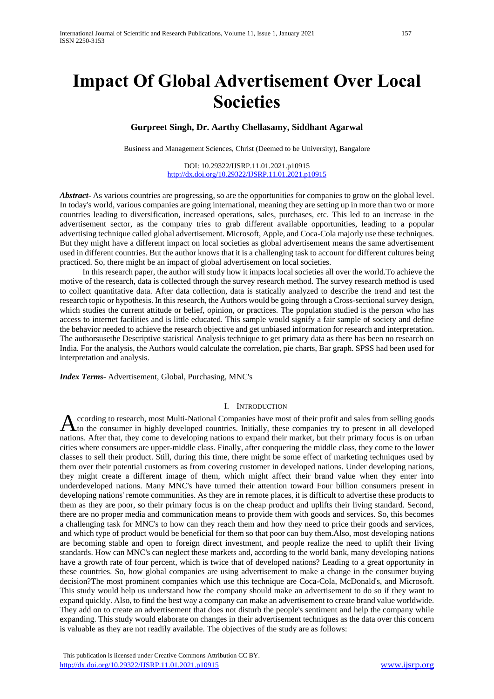# **Impact Of Global Advertisement Over Local Societies**

# **Gurpreet Singh, Dr. Aarthy Chellasamy, Siddhant Agarwal**

Business and Management Sciences, Christ (Deemed to be University), Bangalore

DOI: 10.29322/IJSRP.11.01.2021.p10915 <http://dx.doi.org/10.29322/IJSRP.11.01.2021.p10915>

*Abstract***-** As various countries are progressing, so are the opportunities for companies to grow on the global level. In today's world, various companies are going international, meaning they are setting up in more than two or more countries leading to diversification, increased operations, sales, purchases, etc. This led to an increase in the advertisement sector, as the company tries to grab different available opportunities, leading to a popular advertising technique called global advertisement. Microsoft, Apple, and Coca-Cola majorly use these techniques. But they might have a different impact on local societies as global advertisement means the same advertisement used in different countries. But the author knows that it is a challenging task to account for different cultures being practiced. So, there might be an impact of global advertisement on local societies.

 In this research paper, the author will study how it impacts local societies all over the world.To achieve the motive of the research, data is collected through the survey research method. The survey research method is used to collect quantitative data. After data collection, data is statically analyzed to describe the trend and test the research topic or hypothesis. In this research, the Authors would be going through a Cross-sectional survey design, which studies the current attitude or belief, opinion, or practices. The population studied is the person who has access to internet facilities and is little educated. This sample would signify a fair sample of society and define the behavior needed to achieve the research objective and get unbiased information for research and interpretation. The authorsusethe Descriptive statistical Analysis technique to get primary data as there has been no research on India. For the analysis, the Authors would calculate the correlation, pie charts, Bar graph. SPSS had been used for interpretation and analysis.

*Index Terms*- Advertisement, Global, Purchasing, MNC's

#### I. INTRODUCTION

ccording to research, most Multi-National Companies have most of their profit and sales from selling goods According to research, most Multi-National Companies have most of their profit and sales from selling goods to the consumer in highly developed countries. Initially, these companies try to present in all developed nations. After that, they come to developing nations to expand their market, but their primary focus is on urban cities where consumers are upper-middle class. Finally, after conquering the middle class, they come to the lower classes to sell their product. Still, during this time, there might be some effect of marketing techniques used by them over their potential customers as from covering customer in developed nations. Under developing nations, they might create a different image of them, which might affect their brand value when they enter into underdeveloped nations. Many MNC's have turned their attention toward Four billion consumers present in developing nations' remote communities. As they are in remote places, it is difficult to advertise these products to them as they are poor, so their primary focus is on the cheap product and uplifts their living standard. Second, there are no proper media and communication means to provide them with goods and services. So, this becomes a challenging task for MNC's to how can they reach them and how they need to price their goods and services, and which type of product would be beneficial for them so that poor can buy them.Also, most developing nations are becoming stable and open to foreign direct investment, and people realize the need to uplift their living standards. How can MNC's can neglect these markets and, according to the world bank, many developing nations have a growth rate of four percent, which is twice that of developed nations? Leading to a great opportunity in these countries. So, how global companies are using advertisement to make a change in the consumer buying decision?The most prominent companies which use this technique are Coca-Cola, McDonald's, and Microsoft. This study would help us understand how the company should make an advertisement to do so if they want to expand quickly. Also, to find the best way a company can make an advertisement to create brand value worldwide. They add on to create an advertisement that does not disturb the people's sentiment and help the company while expanding. This study would elaborate on changes in their advertisement techniques as the data over this concern is valuable as they are not readily available. The objectives of the study are as follows: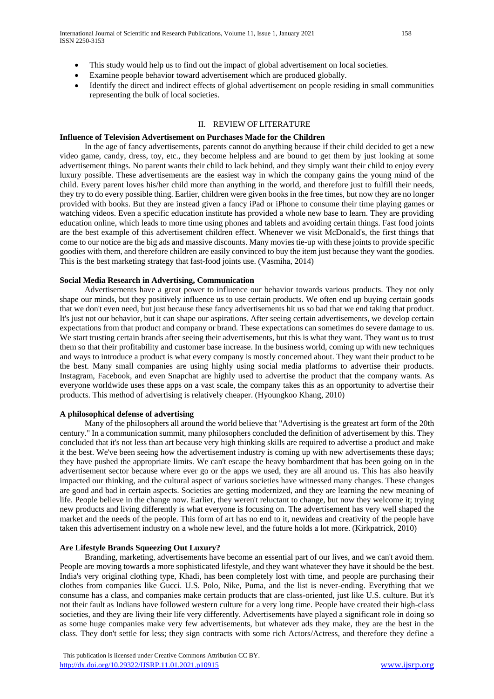- This study would help us to find out the impact of global advertisement on local societies.
- Examine people behavior toward advertisement which are produced globally.
- Identify the direct and indirect effects of global advertisement on people residing in small communities representing the bulk of local societies.

# II. REVIEW OF LITERATURE

#### **Influence of Television Advertisement on Purchases Made for the Children**

 In the age of fancy advertisements, parents cannot do anything because if their child decided to get a new video game, candy, dress, toy, etc., they become helpless and are bound to get them by just looking at some advertisement things. No parent wants their child to lack behind, and they simply want their child to enjoy every luxury possible. These advertisements are the easiest way in which the company gains the young mind of the child. Every parent loves his/her child more than anything in the world, and therefore just to fulfill their needs, they try to do every possible thing. Earlier, children were given books in the free times, but now they are no longer provided with books. But they are instead given a fancy iPad or iPhone to consume their time playing games or watching videos. Even a specific education institute has provided a whole new base to learn. They are providing education online, which leads to more time using phones and tablets and avoiding certain things. Fast food joints are the best example of this advertisement children effect. Whenever we visit McDonald's, the first things that come to our notice are the big ads and massive discounts. Many movies tie-up with these joints to provide specific goodies with them, and therefore children are easily convinced to buy the item just because they want the goodies. This is the best marketing strategy that fast-food joints use. (Vasmiha, 2014)

## **Social Media Research in Advertising, Communication**

 Advertisements have a great power to influence our behavior towards various products. They not only shape our minds, but they positively influence us to use certain products. We often end up buying certain goods that we don't even need, but just because these fancy advertisements hit us so bad that we end taking that product. It's just not our behavior, but it can shape our aspirations. After seeing certain advertisements, we develop certain expectations from that product and company or brand. These expectations can sometimes do severe damage to us. We start trusting certain brands after seeing their advertisements, but this is what they want. They want us to trust them so that their profitability and customer base increase. In the business world, coming up with new techniques and ways to introduce a product is what every company is mostly concerned about. They want their product to be the best. Many small companies are using highly using social media platforms to advertise their products. Instagram, Facebook, and even Snapchat are highly used to advertise the product that the company wants. As everyone worldwide uses these apps on a vast scale, the company takes this as an opportunity to advertise their products. This method of advertising is relatively cheaper. (Hyoungkoo Khang, 2010)

# **A philosophical defense of advertising**

 Many of the philosophers all around the world believe that "Advertising is the greatest art form of the 20th century." In a communication summit, many philosophers concluded the definition of advertisement by this. They concluded that it's not less than art because very high thinking skills are required to advertise a product and make it the best. We've been seeing how the advertisement industry is coming up with new advertisements these days; they have pushed the appropriate limits. We can't escape the heavy bombardment that has been going on in the advertisement sector because where ever go or the apps we used, they are all around us. This has also heavily impacted our thinking, and the cultural aspect of various societies have witnessed many changes. These changes are good and bad in certain aspects. Societies are getting modernized, and they are learning the new meaning of life. People believe in the change now. Earlier, they weren't reluctant to change, but now they welcome it; trying new products and living differently is what everyone is focusing on. The advertisement has very well shaped the market and the needs of the people. This form of art has no end to it, newideas and creativity of the people have taken this advertisement industry on a whole new level, and the future holds a lot more. (Kirkpatrick, 2010)

#### **Are Lifestyle Brands Squeezing Out Luxury?**

 Branding, marketing, advertisements have become an essential part of our lives, and we can't avoid them. People are moving towards a more sophisticated lifestyle, and they want whatever they have it should be the best. India's very original clothing type, Khadi, has been completely lost with time, and people are purchasing their clothes from companies like Gucci. U.S. Polo, Nike, Puma, and the list is never-ending. Everything that we consume has a class, and companies make certain products that are class-oriented, just like U.S. culture. But it's not their fault as Indians have followed western culture for a very long time. People have created their high-class societies, and they are living their life very differently. Advertisements have played a significant role in doing so as some huge companies make very few advertisements, but whatever ads they make, they are the best in the class. They don't settle for less; they sign contracts with some rich Actors/Actress, and therefore they define a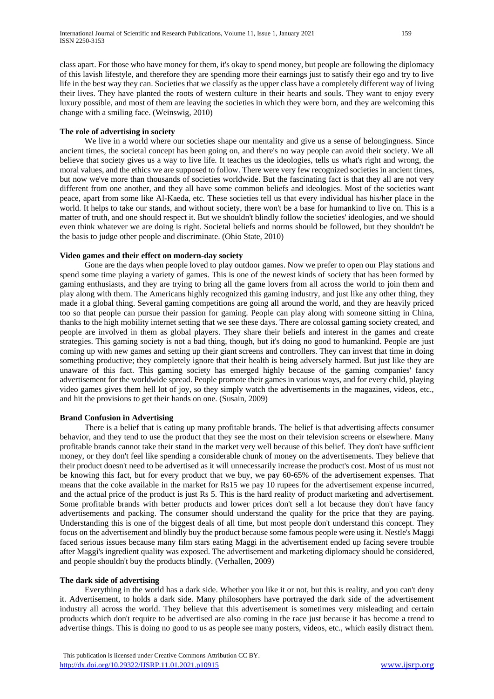class apart. For those who have money for them, it's okay to spend money, but people are following the diplomacy of this lavish lifestyle, and therefore they are spending more their earnings just to satisfy their ego and try to live life in the best way they can. Societies that we classify as the upper class have a completely different way of living their lives. They have planted the roots of western culture in their hearts and souls. They want to enjoy every luxury possible, and most of them are leaving the societies in which they were born, and they are welcoming this change with a smiling face. (Weinswig, 2010)

# **The role of advertising in society**

We live in a world where our societies shape our mentality and give us a sense of belongingness. Since ancient times, the societal concept has been going on, and there's no way people can avoid their society. We all believe that society gives us a way to live life. It teaches us the ideologies, tells us what's right and wrong, the moral values, and the ethics we are supposed to follow. There were very few recognized societies in ancient times, but now we've more than thousands of societies worldwide. But the fascinating fact is that they all are not very different from one another, and they all have some common beliefs and ideologies. Most of the societies want peace, apart from some like Al-Kaeda, etc. These societies tell us that every individual has his/her place in the world. It helps to take our stands, and without society, there won't be a base for humankind to live on. This is a matter of truth, and one should respect it. But we shouldn't blindly follow the societies' ideologies, and we should even think whatever we are doing is right. Societal beliefs and norms should be followed, but they shouldn't be the basis to judge other people and discriminate. (Ohio State, 2010)

# **Video games and their effect on modern-day society**

 Gone are the days when people loved to play outdoor games. Now we prefer to open our Play stations and spend some time playing a variety of games. This is one of the newest kinds of society that has been formed by gaming enthusiasts, and they are trying to bring all the game lovers from all across the world to join them and play along with them. The Americans highly recognized this gaming industry, and just like any other thing, they made it a global thing. Several gaming competitions are going all around the world, and they are heavily priced too so that people can pursue their passion for gaming. People can play along with someone sitting in China, thanks to the high mobility internet setting that we see these days. There are colossal gaming society created, and people are involved in them as global players. They share their beliefs and interest in the games and create strategies. This gaming society is not a bad thing, though, but it's doing no good to humankind. People are just coming up with new games and setting up their giant screens and controllers. They can invest that time in doing something productive; they completely ignore that their health is being adversely harmed. But just like they are unaware of this fact. This gaming society has emerged highly because of the gaming companies' fancy advertisement for the worldwide spread. People promote their games in various ways, and for every child, playing video games gives them hell lot of joy, so they simply watch the advertisements in the magazines, videos, etc., and hit the provisions to get their hands on one. (Susain, 2009)

#### **Brand Confusion in Advertising**

 There is a belief that is eating up many profitable brands. The belief is that advertising affects consumer behavior, and they tend to use the product that they see the most on their television screens or elsewhere. Many profitable brands cannot take their stand in the market very well because of this belief. They don't have sufficient money, or they don't feel like spending a considerable chunk of money on the advertisements. They believe that their product doesn't need to be advertised as it will unnecessarily increase the product's cost. Most of us must not be knowing this fact, but for every product that we buy, we pay 60-65% of the advertisement expenses. That means that the coke available in the market for Rs15 we pay 10 rupees for the advertisement expense incurred, and the actual price of the product is just Rs 5. This is the hard reality of product marketing and advertisement. Some profitable brands with better products and lower prices don't sell a lot because they don't have fancy advertisements and packing. The consumer should understand the quality for the price that they are paying. Understanding this is one of the biggest deals of all time, but most people don't understand this concept. They focus on the advertisement and blindly buy the product because some famous people were using it. Nestle's Maggi faced serious issues because many film stars eating Maggi in the advertisement ended up facing severe trouble after Maggi's ingredient quality was exposed. The advertisement and marketing diplomacy should be considered, and people shouldn't buy the products blindly. (Verhallen, 2009)

# **The dark side of advertising**

 Everything in the world has a dark side. Whether you like it or not, but this is reality, and you can't deny it. Advertisement, to holds a dark side. Many philosophers have portrayed the dark side of the advertisement industry all across the world. They believe that this advertisement is sometimes very misleading and certain products which don't require to be advertised are also coming in the race just because it has become a trend to advertise things. This is doing no good to us as people see many posters, videos, etc., which easily distract them.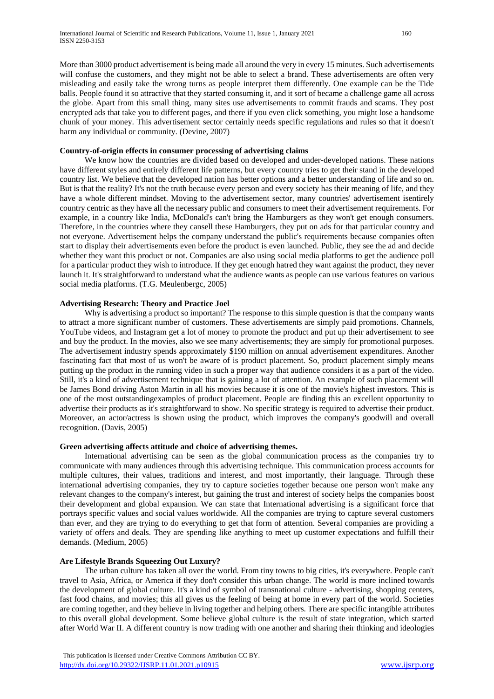More than 3000 product advertisement is being made all around the very in every 15 minutes. Such advertisements will confuse the customers, and they might not be able to select a brand. These advertisements are often very misleading and easily take the wrong turns as people interpret them differently. One example can be the Tide balls. People found it so attractive that they started consuming it, and it sort of became a challenge game all across the globe. Apart from this small thing, many sites use advertisements to commit frauds and scams. They post encrypted ads that take you to different pages, and there if you even click something, you might lose a handsome chunk of your money. This advertisement sector certainly needs specific regulations and rules so that it doesn't harm any individual or community. (Devine, 2007)

# **Country-of-origin effects in consumer processing of advertising claims**

 We know how the countries are divided based on developed and under-developed nations. These nations have different styles and entirely different life patterns, but every country tries to get their stand in the developed country list. We believe that the developed nation has better options and a better understanding of life and so on. But is that the reality? It's not the truth because every person and every society has their meaning of life, and they have a whole different mindset. Moving to the advertisement sector, many countries' advertisement isentirely country centric as they have all the necessary public and consumers to meet their advertisement requirements. For example, in a country like India, McDonald's can't bring the Hamburgers as they won't get enough consumers. Therefore, in the countries where they cansell these Hamburgers, they put on ads for that particular country and not everyone. Advertisement helps the company understand the public's requirements because companies often start to display their advertisements even before the product is even launched. Public, they see the ad and decide whether they want this product or not. Companies are also using social media platforms to get the audience poll for a particular product they wish to introduce. If they get enough hatred they want against the product, they never launch it. It's straightforward to understand what the audience wants as people can use various features on various social media platforms. (T.G. Meulenbergc, 2005)

# **Advertising Research: Theory and Practice Joel**

 Why is advertising a product so important? The response to this simple question is that the company wants to attract a more significant number of customers. These advertisements are simply paid promotions. Channels, YouTube videos, and Instagram get a lot of money to promote the product and put up their advertisement to see and buy the product. In the movies, also we see many advertisements; they are simply for promotional purposes. The advertisement industry spends approximately \$190 million on annual advertisement expenditures. Another fascinating fact that most of us won't be aware of is product placement. So, product placement simply means putting up the product in the running video in such a proper way that audience considers it as a part of the video. Still, it's a kind of advertisement technique that is gaining a lot of attention. An example of such placement will be James Bond driving Aston Martin in all his movies because it is one of the movie's highest investors. This is one of the most outstandingexamples of product placement. People are finding this an excellent opportunity to advertise their products as it's straightforward to show. No specific strategy is required to advertise their product. Moreover, an actor/actress is shown using the product, which improves the company's goodwill and overall recognition. (Davis, 2005)

#### **Green advertising affects attitude and choice of advertising themes.**

 International advertising can be seen as the global communication process as the companies try to communicate with many audiences through this advertising technique. This communication process accounts for multiple cultures, their values, traditions and interest, and most importantly, their language. Through these international advertising companies, they try to capture societies together because one person won't make any relevant changes to the company's interest, but gaining the trust and interest of society helps the companies boost their development and global expansion. We can state that International advertising is a significant force that portrays specific values and social values worldwide. All the companies are trying to capture several customers than ever, and they are trying to do everything to get that form of attention. Several companies are providing a variety of offers and deals. They are spending like anything to meet up customer expectations and fulfill their demands. (Medium, 2005)

# **Are Lifestyle Brands Squeezing Out Luxury?**

 The urban culture has taken all over the world. From tiny towns to big cities, it's everywhere. People can't travel to Asia, Africa, or America if they don't consider this urban change. The world is more inclined towards the development of global culture. It's a kind of symbol of transnational culture - advertising, shopping centers, fast food chains, and movies; this all gives us the feeling of being at home in every part of the world. Societies are coming together, and they believe in living together and helping others. There are specific intangible attributes to this overall global development. Some believe global culture is the result of state integration, which started after World War II. A different country is now trading with one another and sharing their thinking and ideologies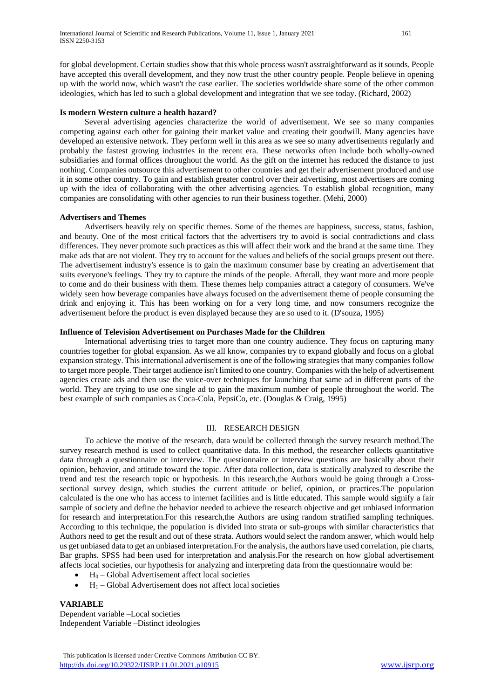for global development. Certain studies show that this whole process wasn't asstraightforward as it sounds. People have accepted this overall development, and they now trust the other country people. People believe in opening up with the world now, which wasn't the case earlier. The societies worldwide share some of the other common ideologies, which has led to such a global development and integration that we see today. (Richard, 2002)

#### **Is modern Western culture a health hazard?**

 Several advertising agencies characterize the world of advertisement. We see so many companies competing against each other for gaining their market value and creating their goodwill. Many agencies have developed an extensive network. They perform well in this area as we see so many advertisements regularly and probably the fastest growing industries in the recent era. These networks often include both wholly-owned subsidiaries and formal offices throughout the world. As the gift on the internet has reduced the distance to just nothing. Companies outsource this advertisement to other countries and get their advertisement produced and use it in some other country. To gain and establish greater control over their advertising, most advertisers are coming up with the idea of collaborating with the other advertising agencies. To establish global recognition, many companies are consolidating with other agencies to run their business together. (Mehi, 2000)

#### **Advertisers and Themes**

 Advertisers heavily rely on specific themes. Some of the themes are happiness, success, status, fashion, and beauty. One of the most critical factors that the advertisers try to avoid is social contradictions and class differences. They never promote such practices as this will affect their work and the brand at the same time. They make ads that are not violent. They try to account for the values and beliefs of the social groups present out there. The advertisement industry's essence is to gain the maximum consumer base by creating an advertisement that suits everyone's feelings. They try to capture the minds of the people. Afterall, they want more and more people to come and do their business with them. These themes help companies attract a category of consumers. We've widely seen how beverage companies have always focused on the advertisement theme of people consuming the drink and enjoying it. This has been working on for a very long time, and now consumers recognize the advertisement before the product is even displayed because they are so used to it. (D'souza, 1995)

#### **Influence of Television Advertisement on Purchases Made for the Children**

 International advertising tries to target more than one country audience. They focus on capturing many countries together for global expansion. As we all know, companies try to expand globally and focus on a global expansion strategy. This international advertisement is one of the following strategies that many companies follow to target more people. Their target audience isn't limited to one country. Companies with the help of advertisement agencies create ads and then use the voice-over techniques for launching that same ad in different parts of the world. They are trying to use one single ad to gain the maximum number of people throughout the world. The best example of such companies as Coca-Cola, PepsiCo, etc. (Douglas & Craig, 1995)

#### III. RESEARCH DESIGN

 To achieve the motive of the research, data would be collected through the survey research method.The survey research method is used to collect quantitative data. In this method, the researcher collects quantitative data through a questionnaire or interview. The questionnaire or interview questions are basically about their opinion, behavior, and attitude toward the topic. After data collection, data is statically analyzed to describe the trend and test the research topic or hypothesis. In this research,the Authors would be going through a Crosssectional survey design, which studies the current attitude or belief, opinion, or practices.The population calculated is the one who has access to internet facilities and is little educated. This sample would signify a fair sample of society and define the behavior needed to achieve the research objective and get unbiased information for research and interpretation.For this research,the Authors are using random stratified sampling techniques. According to this technique, the population is divided into strata or sub-groups with similar characteristics that Authors need to get the result and out of these strata. Authors would select the random answer, which would help us get unbiased data to get an unbiased interpretation.For the analysis, the authors have used correlation, pie charts, Bar graphs. SPSS had been used for interpretation and analysis.For the research on how global advertisement affects local societies, our hypothesis for analyzing and interpreting data from the questionnaire would be:

- $H<sub>0</sub>$  Global Advertisement affect local societies
- $H_1$  Global Advertisement does not affect local societies

# **VARIABLE**

Dependent variable –Local societies Independent Variable –Distinct ideologies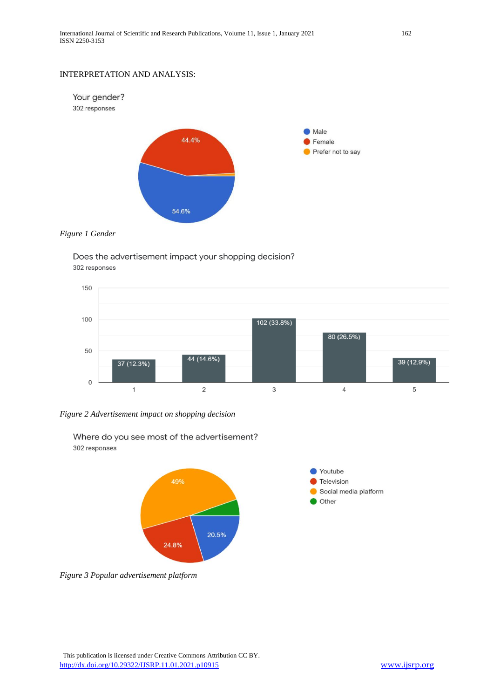# INTERPRETATION AND ANALYSIS:



# *Figure 1 Gender*

Does the advertisement impact your shopping decision? 302 responses



*Figure 2 Advertisement impact on shopping decision*



Where do you see most of the advertisement? 302 responses

*Figure 3 Popular advertisement platform*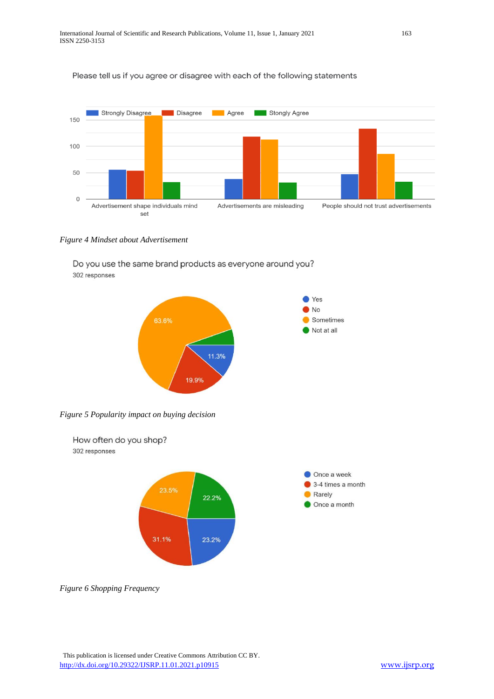# Please tell us if you agree or disagree with each of the following statements



*Figure 4 Mindset about Advertisement*

Do you use the same brand products as everyone around you? 302 responses



*Figure 5 Popularity impact on buying decision*



*Figure 6 Shopping Frequency*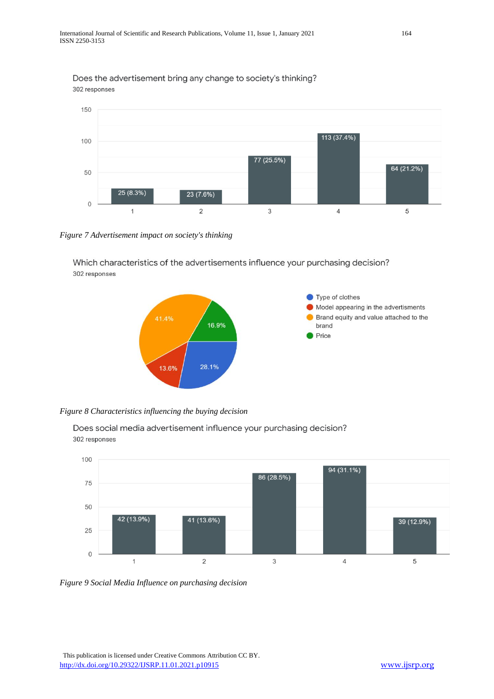150  $\overline{113(37.4\%)}$ 100 77 (25.5%) 64 (21.2%) 50 25 (8.3%) 23 (7.6%)  $\mathbf 0$  $\mathbf{1}$  $\overline{2}$  $\mathsf 3$  $\sqrt{4}$ 5

Does the advertisement bring any change to society's thinking? 302 responses

*Figure 7 Advertisement impact on society's thinking*

Which characteristics of the advertisements influence your purchasing decision? 302 responses



*Figure 8 Characteristics influencing the buying decision*

Does social media advertisement influence your purchasing decision? 302 responses



*Figure 9 Social Media Influence on purchasing decision*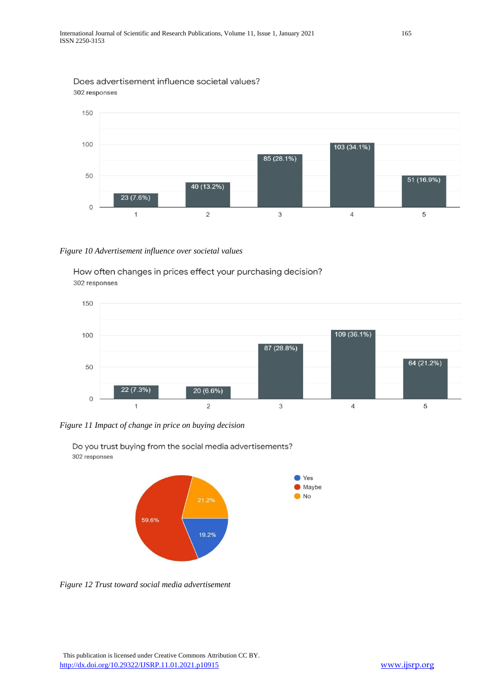# Does advertisement influence societal values? 302 responses



# *Figure 10 Advertisement influence over societal values*

How often changes in prices effect your purchasing decision? 302 responses



*Figure 11 Impact of change in price on buying decision*



Do you trust buying from the social media advertisements? 302 responses

*Figure 12 Trust toward social media advertisement*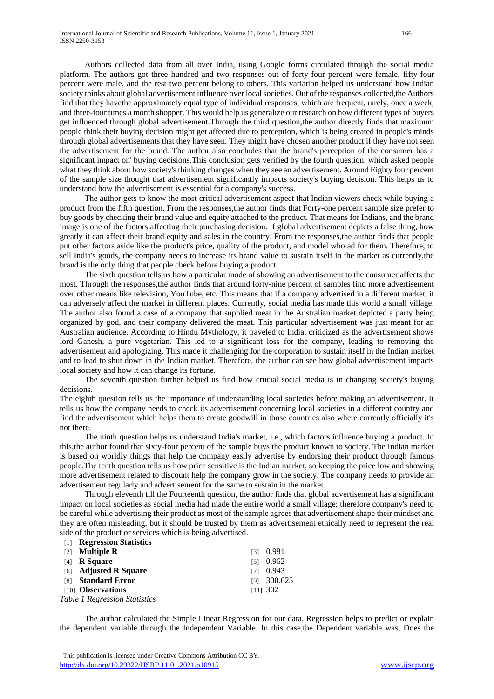Authors collected data from all over India, using Google forms circulated through the social media platform. The authors got three hundred and two responses out of forty-four percent were female, fifty-four percent were male, and the rest two percent belong to others. This variation helped us understand how Indian society thinks about global advertisement influence over local societies. Out of the responses collected,the Authors find that they havethe approximately equal type of individual responses, which are frequent, rarely, once a week, and three-four times a month shopper. This would help us generalize our research on how different types of buyers get influenced through global advertisement.Through the third question,the author directly finds that maximum people think their buying decision might get affected due to perception, which is being created in people's minds through global advertisements that they have seen. They might have chosen another product if they have not seen the advertisement for the brand. The author also concludes that the brand's perception of the consumer has a significant impact on' buying decisions.This conclusion gets verified by the fourth question, which asked people what they think about how society's thinking changes when they see an advertisement. Around Eighty four percent of the sample size thought that advertisement significantly impacts society's buying decision. This helps us to understand how the advertisement is essential for a company's success.

 The author gets to know the most critical advertisement aspect that Indian viewers check while buying a product from the fifth question. From the responses,the author finds that Forty-one percent sample size prefer to buy goods by checking their brand value and equity attached to the product. That means for Indians, and the brand image is one of the factors affecting their purchasing decision. If global advertisement depicts a false thing, how greatly it can affect their brand equity and sales in the country. From the responses,the author finds that people put other factors aside like the product's price, quality of the product, and model who ad for them. Therefore, to sell India's goods, the company needs to increase its brand value to sustain itself in the market as currently,the brand is the only thing that people check before buying a product.

 The sixth question tells us how a particular mode of showing an advertisement to the consumer affects the most. Through the responses,the author finds that around forty-nine percent of samples find more advertisement over other means like television, YouTube, etc. This means that if a company advertised in a different market, it can adversely affect the market in different places. Currently, social media has made this world a small village. The author also found a case of a company that supplied meat in the Australian market depicted a party being organized by god, and their company delivered the meat. This particular advertisement was just meant for an Australian audience. According to Hindu Mythology, it traveled to India, criticized as the advertisement shows lord Ganesh, a pure vegetarian. This led to a significant loss for the company, leading to removing the advertisement and apologizing. This made it challenging for the corporation to sustain itself in the Indian market and to lead to shut down in the Indian market. Therefore, the author can see how global advertisement impacts local society and how it can change its fortune.

 The seventh question further helped us find how crucial social media is in changing society's buying decisions.

The eighth question tells us the importance of understanding local societies before making an advertisement. It tells us how the company needs to check its advertisement concerning local societies in a different country and find the advertisement which helps them to create goodwill in those countries also where currently officially it's not there.

 The ninth question helps us understand India's market, i.e., which factors influence buying a product. In this,the author found that sixty-four percent of the sample buys the product known to society. The Indian market is based on worldly things that help the company easily advertise by endorsing their product through famous people.The tenth question tells us how price sensitive is the Indian market, so keeping the price low and showing more advertisement related to discount help the company grow in the society. The company needs to provide an advertisement regularly and advertisement for the same to sustain in the market.

 Through eleventh till the Fourteenth question, the author finds that global advertisement has a significant impact on local societies as social media had made the entire world a small village; therefore company's need to be careful while advertising their product as most of the sample agrees that advertisement shape their mindset and they are often misleading, but it should be trusted by them as advertisement ethically need to represent the real side of the product or services which is being advertised.

| $\Box$            | <b>Regression Statistics</b>  |                   |
|-------------------|-------------------------------|-------------------|
| $\lceil 2 \rceil$ | <b>Multiple R</b>             | $131 \quad 0.981$ |
|                   | $[4]$ R Square                | $151 \quad 0.962$ |
|                   | [6] Adjusted R Square         | $[7]$ 0.943       |
|                   | [8] Standard Error            | [9] 300.625       |
|                   | [10] <b>Observations</b>      | $[11]$ 302        |
|                   | Table 1 Regression Statistics |                   |

 The author calculated the Simple Linear Regression for our data. Regression helps to predict or explain the dependent variable through the Independent Variable. In this case,the Dependent variable was, Does the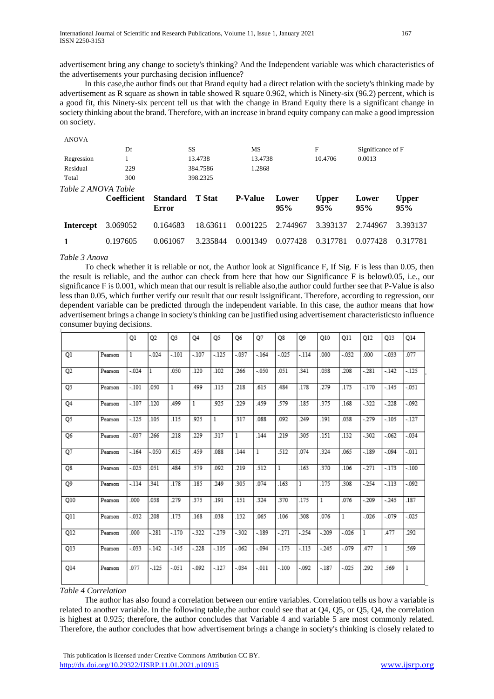advertisement bring any change to society's thinking? And the Independent variable was which characteristics of the advertisements your purchasing decision influence?

 In this case,the author finds out that Brand equity had a direct relation with the society's thinking made by advertisement as R square as shown in table showed R square 0.962, which is Ninety-six (96.2) percent, which is a good fit, this Ninety-six percent tell us that with the change in Brand Equity there is a significant change in society thinking about the brand. Therefore, with an increase in brand equity company can make a good impression on society.

| <b>ANOVA</b>        |                    |                                 |                    |                |              |                     |                   |                     |  |
|---------------------|--------------------|---------------------------------|--------------------|----------------|--------------|---------------------|-------------------|---------------------|--|
|                     | Df                 |                                 | <b>SS</b>          | MS             |              | F                   | Significance of F |                     |  |
| Regression          |                    |                                 | 13.4738            | 13.4738        |              | 10.4706             | 0.0013            |                     |  |
| Residual            | 229                |                                 | 384.7586<br>1.2868 |                |              |                     |                   |                     |  |
| Total               | 300                |                                 | 398.2325           |                |              |                     |                   |                     |  |
| Table 2 ANOVA Table |                    |                                 |                    |                |              |                     |                   |                     |  |
|                     |                    |                                 |                    |                |              |                     |                   |                     |  |
|                     | <b>Coefficient</b> | <b>Standard</b><br><b>Error</b> | <b>T</b> Stat      | <b>P-Value</b> | Lower<br>95% | <b>Upper</b><br>95% | Lower<br>95%      | <b>Upper</b><br>95% |  |
| <b>Intercept</b>    | 3.069052           | 0.164683                        | 18.63611           | 0.001225       | 2.744967     | 3.393137            | 2.744967          | 3.393137            |  |
|                     | 0.197605           | 0.061067                        | 3.235844           | 0.001349       | 0.077428     | 0.317781            | 0.077428          | 0.317781            |  |

#### *Table 3 Anova*

 To check whether it is reliable or not, the Author look at Significance F, If Sig. F is less than 0.05, then the result is reliable, and the author can check from here that how our Significance F is below0.05, i.e., our significance F is 0.001, which mean that our result is reliable also,the author could further see that P-Value is also less than 0.05, which further verify our result that our result issignificant. Therefore, according to regression, our dependent variable can be predicted through the independent variable. In this case, the author means that how advertisement brings a change in society's thinking can be justified using advertisement characteristicsto influence consumer buying decisions.

|           |         | Q1       | Q <sub>2</sub> | Q3           | Q4      | Q5      | Q6      | Q7           | Q8           | Q9      | Q10     | Q11          | Q12          | Q13          | Q14      |
|-----------|---------|----------|----------------|--------------|---------|---------|---------|--------------|--------------|---------|---------|--------------|--------------|--------------|----------|
| Q1        | Pearson | 1        | $-0.024$       | $-.101$      | $-.107$ | $-125$  | $-.037$ | $-164$       | $-.025$      | $-114$  | .000    | $-.032$      | .000         | $-.033$      | .077     |
| Q2        | Pearson | $-.024$  | 1              | .050         | .120    | .102    | .266    | $-050$       | 051          | .341    | .038    | .208         | $-281$       | $-142$       | $-125$   |
| Q3        | Pearson | $-.101$  | .050           | $\mathbf{1}$ | .499    | .115    | .218    | .615         | .484         | .178    | .279    | .173         | $-.170$      | $-.145$      | $-051$   |
| <b>Q4</b> | Pearson | $-.107$  | .120           | .499         | 1       | .925    | .229    | .459         | .579         | .185    | .375    | .168         | $-322$       | $-228$       | $-0.092$ |
| Q5        | Pearson | $-125$   | 105            | .115         | .925    | 1       | .317    | .088         | .092         | .249    | .191    | .038         | $-279$       | $-.105$      | $-127$   |
| Q6        | Pearson | $-.037$  | .266           | .218         | .229    | .317    | 1       | .144         | .219         | .305    | .151    | .132         | $-302$       | $-062$       | $-.034$  |
| $Q$ 7     | Pearson | $-.164$  | $-050$         | .615         | .459    | .088    | .144    | $\mathbf{1}$ | .512         | .074    | .324    | .065         | $-189$       | $-.094$      | $-011$   |
| Q8        | Pearson | $-0.025$ | .051           | .484         | .579    | .092    | .219    | .512         | $\mathbf{1}$ | .163    | .370    | .106         | $-271$       | $-173$       | $-.100$  |
| Q9        | Pearson | $-114$   | 341            | .178         | .185    | .249    | .305    | .074         | .163         | 1       | .175    | .308         | $-254$       | $-113$       | $-0.092$ |
| Q10       | Pearson | .000     | .038           | .279         | .375    | .191    | .151    | .324         | .370         | .175    | 1       | .076         | $-209$       | $-245$       | .187     |
| Q11       | Pearson | $-.032$  | .208           | .173         | .168    | .038    | .132    | .065         | .106         | .308    | .076    | $\mathbf{I}$ | $-.026$      | $-.079$      | $-0.025$ |
| Q12       | Pearson | .000     | $-281$         | $-.170$      | $-322$  | $-279$  | $-302$  | $-189$       | $-271$       | $-254$  | $-209$  | $-.026$      | $\mathbf{1}$ | .477         | .292     |
| Q13       | Pearson | $-0.033$ | $-.142$        | $-.145$      | $-228$  | $-.105$ | $-062$  | $-.094$      | $-173$       | $-113$  | $-245$  | $-.079$      | <b>A77</b>   | $\mathbf{1}$ | .569     |
| Q14       | Pearson | .077     | $-125$         | $-.051$      | $-0.92$ | $-127$  | $-.034$ | $-011$       | $-.100$      | $-.092$ | $-.187$ | $-0.025$     | .292         | .569         | 1        |

#### *Table 4 Correlation*

 The author has also found a correlation between our entire variables. Correlation tells us how a variable is related to another variable. In the following table,the author could see that at Q4, Q5, or Q5, Q4, the correlation is highest at 0.925; therefore, the author concludes that Variable 4 and variable 5 are most commonly related. Therefore, the author concludes that how advertisement brings a change in society's thinking is closely related to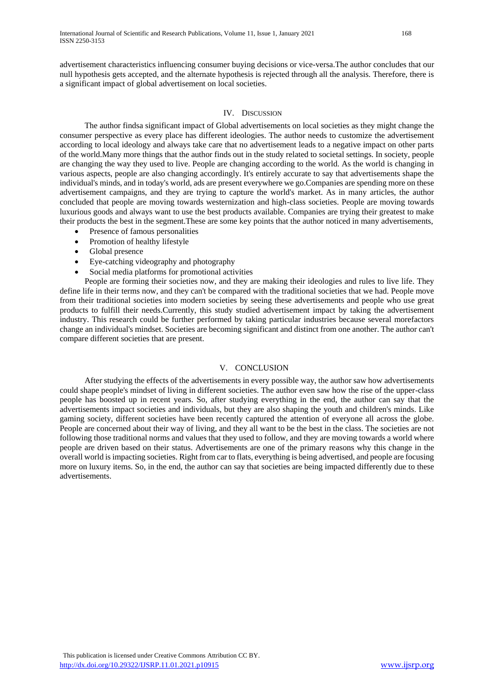advertisement characteristics influencing consumer buying decisions or vice-versa.The author concludes that our null hypothesis gets accepted, and the alternate hypothesis is rejected through all the analysis. Therefore, there is a significant impact of global advertisement on local societies.

# IV. DISCUSSION

 The author findsa significant impact of Global advertisements on local societies as they might change the consumer perspective as every place has different ideologies. The author needs to customize the advertisement according to local ideology and always take care that no advertisement leads to a negative impact on other parts of the world.Many more things that the author finds out in the study related to societal settings. In society, people are changing the way they used to live. People are changing according to the world. As the world is changing in various aspects, people are also changing accordingly. It's entirely accurate to say that advertisements shape the individual's minds, and in today's world, ads are present everywhere we go.Companies are spending more on these advertisement campaigns, and they are trying to capture the world's market. As in many articles, the author concluded that people are moving towards westernization and high-class societies. People are moving towards luxurious goods and always want to use the best products available. Companies are trying their greatest to make their products the best in the segment.These are some key points that the author noticed in many advertisements,

- Presence of famous personalities
- Promotion of healthy lifestyle
- Global presence
- Eye-catching videography and photography
- Social media platforms for promotional activities

 People are forming their societies now, and they are making their ideologies and rules to live life. They define life in their terms now, and they can't be compared with the traditional societies that we had. People move from their traditional societies into modern societies by seeing these advertisements and people who use great products to fulfill their needs.Currently, this study studied advertisement impact by taking the advertisement industry. This research could be further performed by taking particular industries because several morefactors change an individual's mindset. Societies are becoming significant and distinct from one another. The author can't compare different societies that are present.

# V. CONCLUSION

 After studying the effects of the advertisements in every possible way, the author saw how advertisements could shape people's mindset of living in different societies. The author even saw how the rise of the upper-class people has boosted up in recent years. So, after studying everything in the end, the author can say that the advertisements impact societies and individuals, but they are also shaping the youth and children's minds. Like gaming society, different societies have been recently captured the attention of everyone all across the globe. People are concerned about their way of living, and they all want to be the best in the class. The societies are not following those traditional norms and values that they used to follow, and they are moving towards a world where people are driven based on their status. Advertisements are one of the primary reasons why this change in the overall world is impacting societies. Right from car to flats, everything is being advertised, and people are focusing more on luxury items. So, in the end, the author can say that societies are being impacted differently due to these advertisements.